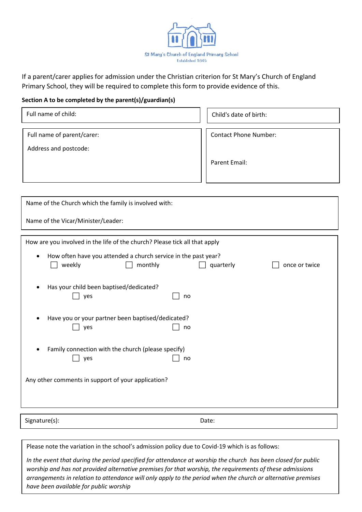

If a parent/carer applies for admission under the Christian criterion for St Mary's Church of England Primary School, they will be required to complete this form to provide evidence of this.

## **Section A to be completed by the parent(s)/guardian(s)**

| Full name of child:        | Child's date of birth:       |  |
|----------------------------|------------------------------|--|
| Full name of parent/carer: | <b>Contact Phone Number:</b> |  |
| Address and postcode:      |                              |  |
|                            | Parent Email:                |  |
|                            |                              |  |

| Name of the Church which the family is involved with:                                            |           |               |  |
|--------------------------------------------------------------------------------------------------|-----------|---------------|--|
| Name of the Vicar/Minister/Leader:                                                               |           |               |  |
| How are you involved in the life of the church? Please tick all that apply                       |           |               |  |
| How often have you attended a church service in the past year?<br>$\bullet$<br>weekly<br>monthly | quarterly | once or twice |  |
| Has your child been baptised/dedicated?<br>yes                                                   | no        |               |  |
| Have you or your partner been baptised/dedicated?<br>yes                                         | no        |               |  |
| Family connection with the church (please specify)<br>٠<br>yes                                   | no        |               |  |
| Any other comments in support of your application?                                               |           |               |  |
| Signature(s):                                                                                    | Date:     |               |  |

Please note the variation in the school's admission policy due to Covid-19 which is as follows:

*In the event that during the period specified for attendance at worship the church has been closed for public worship and has not provided alternative premises for that worship, the requirements of these admissions arrangements in relation to attendance will only apply to the period when the church or alternative premises have been available for public worship*